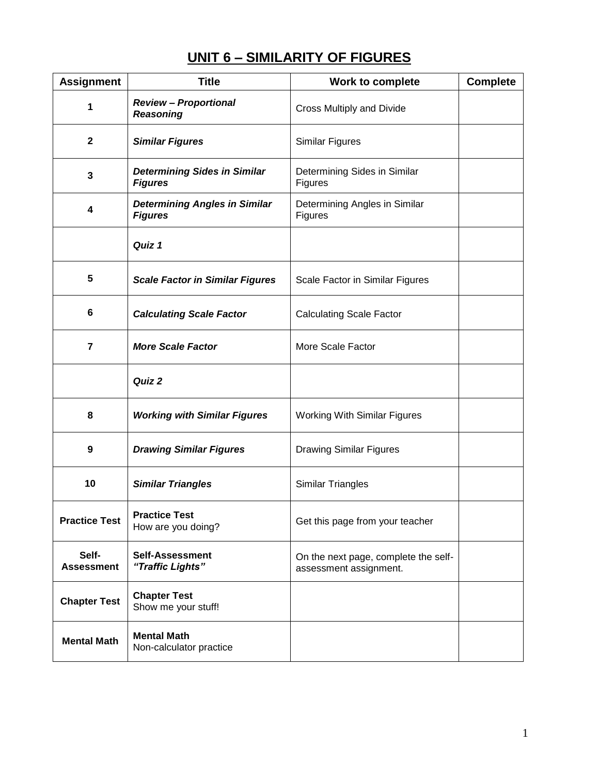# **UNIT 6 – SIMILARITY OF FIGURES**

| <b>Assignment</b>          | <b>Title</b>                                           | Work to complete                                               | <b>Complete</b> |
|----------------------------|--------------------------------------------------------|----------------------------------------------------------------|-----------------|
| 1                          | <b>Review - Proportional</b><br><b>Reasoning</b>       | Cross Multiply and Divide                                      |                 |
| $\mathbf{2}$               | <b>Similar Figures</b>                                 | Similar Figures                                                |                 |
| 3                          | <b>Determining Sides in Similar</b><br><b>Figures</b>  | Determining Sides in Similar<br>Figures                        |                 |
| 4                          | <b>Determining Angles in Similar</b><br><b>Figures</b> | Determining Angles in Similar<br>Figures                       |                 |
|                            | Quiz 1                                                 |                                                                |                 |
| 5                          | <b>Scale Factor in Similar Figures</b>                 | Scale Factor in Similar Figures                                |                 |
| 6                          | <b>Calculating Scale Factor</b>                        | <b>Calculating Scale Factor</b>                                |                 |
| $\overline{7}$             | <b>More Scale Factor</b>                               | More Scale Factor                                              |                 |
|                            | Quiz 2                                                 |                                                                |                 |
| 8                          | <b>Working with Similar Figures</b>                    | <b>Working With Similar Figures</b>                            |                 |
| 9                          | <b>Drawing Similar Figures</b>                         | <b>Drawing Similar Figures</b>                                 |                 |
| 10                         | <b>Similar Triangles</b>                               | <b>Similar Triangles</b>                                       |                 |
| <b>Practice Test</b>       | <b>Practice Test</b><br>How are you doing?             | Get this page from your teacher                                |                 |
| Self-<br><b>Assessment</b> | <b>Self-Assessment</b><br>"Traffic Lights"             | On the next page, complete the self-<br>assessment assignment. |                 |
| <b>Chapter Test</b>        | <b>Chapter Test</b><br>Show me your stuff!             |                                                                |                 |
| <b>Mental Math</b>         | <b>Mental Math</b><br>Non-calculator practice          |                                                                |                 |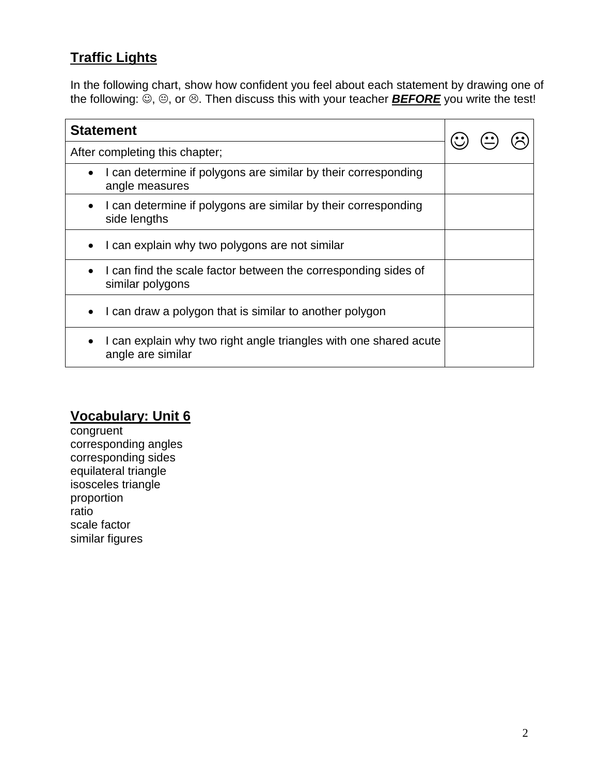# **Traffic Lights**

In the following chart, show how confident you feel about each statement by drawing one of the following:  $\ddot{\odot}$ ,  $\odot$ , or  $\odot$ . Then discuss this with your teacher **BEFORE** you write the test!

| <b>Statement</b>                                                                       |  |  |  |
|----------------------------------------------------------------------------------------|--|--|--|
| After completing this chapter;                                                         |  |  |  |
| I can determine if polygons are similar by their corresponding<br>angle measures       |  |  |  |
| I can determine if polygons are similar by their corresponding<br>side lengths         |  |  |  |
| I can explain why two polygons are not similar                                         |  |  |  |
| I can find the scale factor between the corresponding sides of<br>similar polygons     |  |  |  |
| I can draw a polygon that is similar to another polygon                                |  |  |  |
| I can explain why two right angle triangles with one shared acute<br>angle are similar |  |  |  |

## **Vocabulary: Unit 6**

**congruent** corresponding angles corresponding sides equilateral triangle isosceles triangle proportion ratio scale factor similar figures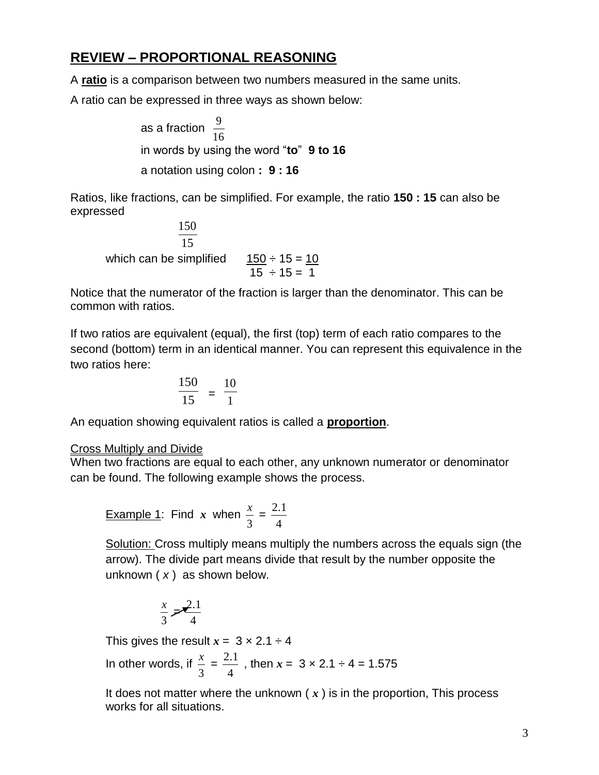### **REVIEW – PROPORTIONAL REASONING**

A **ratio** is a comparison between two numbers measured in the same units.

A ratio can be expressed in three ways as shown below:

as a fraction 16 9 in words by using the word "**to**" **9 to 16** a notation using colon **: 9 : 16**

Ratios, like fractions, can be simplified. For example, the ratio **150 : 15** can also be expressed

15 150 which can be simplified  $\frac{150 \div 15}{15 \div 15} = 10$ 

Notice that the numerator of the fraction is larger than the denominator. This can be common with ratios.

If two ratios are equivalent (equal), the first (top) term of each ratio compares to the second (bottom) term in an identical manner. You can represent this equivalence in the two ratios here:

$$
\frac{150}{15} = \frac{10}{1}
$$

An equation showing equivalent ratios is called a **proportion**.

#### Cross Multiply and Divide

When two fractions are equal to each other, any unknown numerator or denominator can be found. The following example shows the process.

Example 1: Find x when 
$$
\frac{x}{3} = \frac{2.1}{4}
$$

Solution: Cross multiply means multiply the numbers across the equals sign (the arrow). The divide part means divide that result by the number opposite the unknown ( *x* ) as shown below.

$$
\frac{x}{3} = \frac{2.1}{4}
$$

This gives the result  $x = 3 \times 2.1 \div 4$ 

In other words, if 3  $\frac{x}{2}$  = 4  $\frac{2.1}{1}$  , then  $x = 3 \times 2.1 \div 4 = 1.575$ 

It does not matter where the unknown ( *x* ) is in the proportion, This process works for all situations.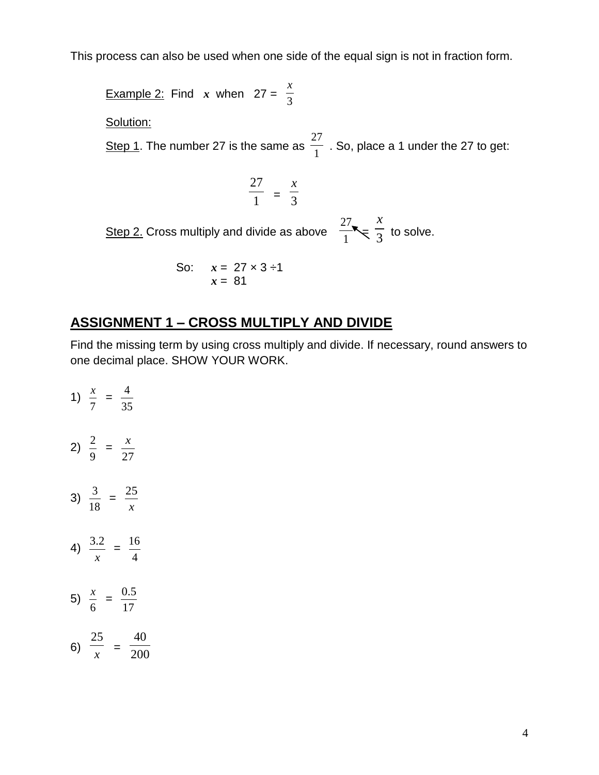This process can also be used when one side of the equal sign is not in fraction form.

**Example 2:** Find *x* when  $27 = \frac{4}{3}$ *x* Solution: Step 1. The number 27 is the same as  $\frac{1}{1}$ 27 . So, place a 1 under the 27 to get: 1 27  $=$   $\frac{1}{3}$ *x* <u>Step 2.</u> Cross multiply and divide as above  $\frac{1}{1}$ 27  $\leq \frac{1}{3}$ *x* to solve. So:  $x - 27 \times 3 = 1$ 

30. 
$$
x = 27 \times 3 = 1
$$
  
 $x = 81$ 

#### **ASSIGNMENT 1 – CROSS MULTIPLY AND DIVIDE**

Find the missing term by using cross multiply and divide. If necessary, round answers to one decimal place. SHOW YOUR WORK.

1) 7  $\frac{x}{x}$  = 35 4 2) 9  $\frac{2}{1}$  = 27 *x* 3) 18  $\frac{3}{2}$  = *x* 25 4) *x*  $\frac{3.2}{ } =$ 4 16 5) 6  $\frac{x}{x}$  = 17 0.5 6) *x* 25  $=$   $\frac{1}{200}$ 40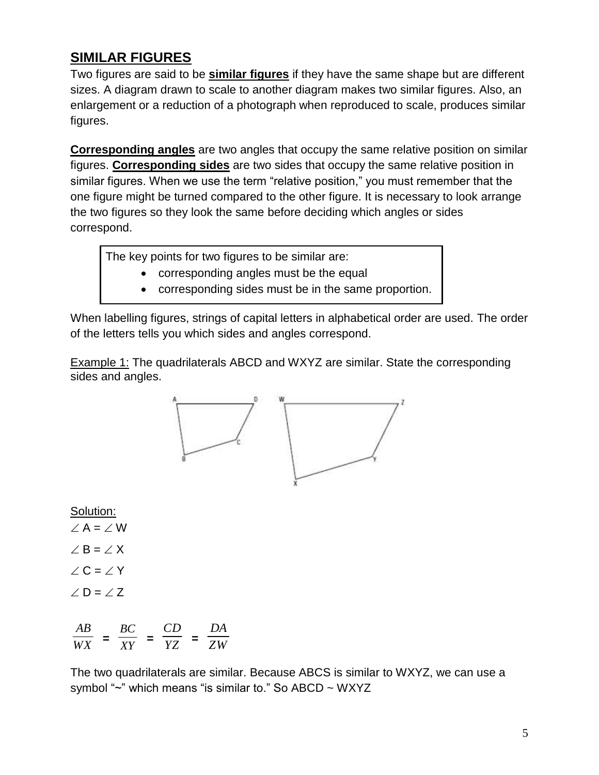## **SIMILAR FIGURES**

Two figures are said to be **similar figures** if they have the same shape but are different sizes. A diagram drawn to scale to another diagram makes two similar figures. Also, an enlargement or a reduction of a photograph when reproduced to scale, produces similar figures.

**Corresponding angles** are two angles that occupy the same relative position on similar figures. **Corresponding sides** are two sides that occupy the same relative position in similar figures. When we use the term "relative position," you must remember that the one figure might be turned compared to the other figure. It is necessary to look arrange the two figures so they look the same before deciding which angles or sides correspond.

The key points for two figures to be similar are:

- corresponding angles must be the equal
- corresponding sides must be in the same proportion.

When labelling figures, strings of capital letters in alphabetical order are used. The order of the letters tells you which sides and angles correspond.

Example 1: The quadrilaterals ABCD and WXYZ are similar. State the corresponding sides and angles.



Solution:

 $\angle A = \angle W$  $\angle$  B =  $\angle$  X  $\angle C = \angle Y$  $\angle$  D =  $\angle$  Z

$$
\frac{AB}{WX} = \frac{BC}{XY} = \frac{CD}{YZ} = \frac{DA}{ZW}
$$

The two quadrilaterals are similar. Because ABCS is similar to WXYZ, we can use a symbol " $\sim$ " which means "is similar to." So ABCD  $\sim$  WXYZ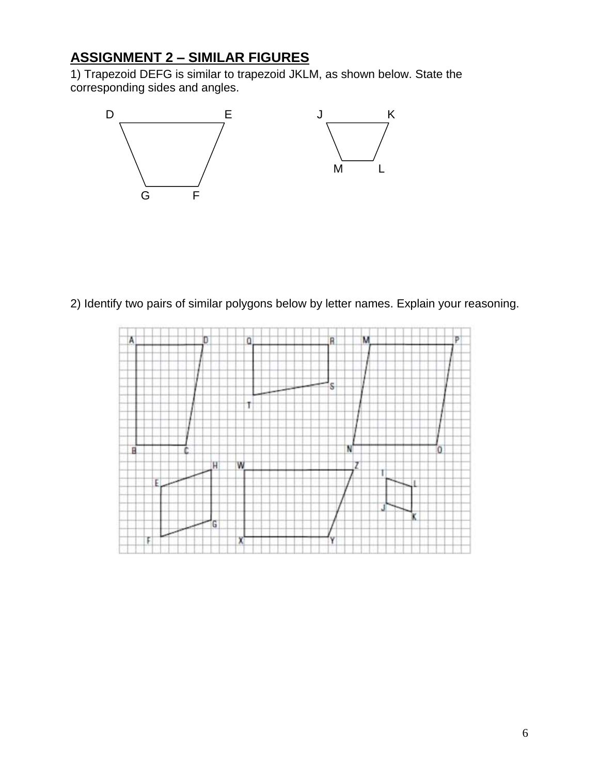# **ASSIGNMENT 2 – SIMILAR FIGURES**

1) Trapezoid DEFG is similar to trapezoid JKLM, as shown below. State the corresponding sides and angles.



2) Identify two pairs of similar polygons below by letter names. Explain your reasoning.

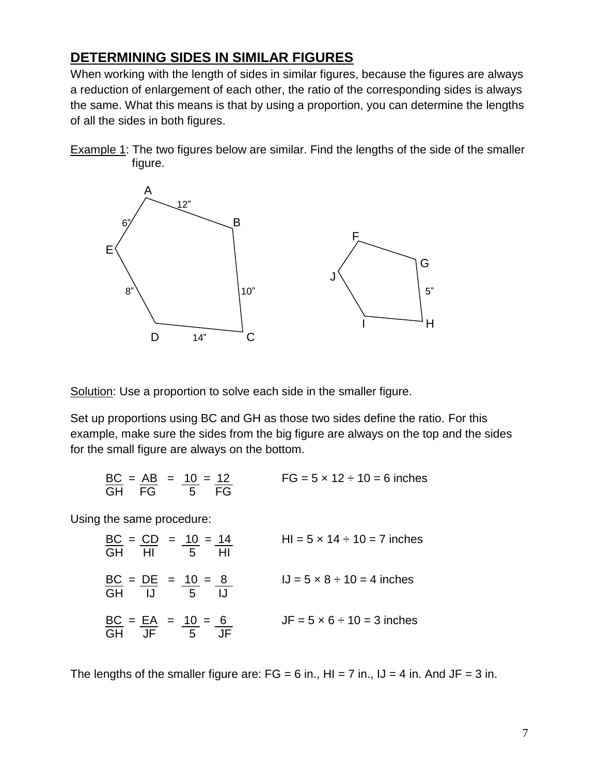### **DETERMINING SIDES IN SIMILAR FIGURES**

When working with the length of sides in similar figures, because the figures are always a reduction of enlargement of each other, the ratio of the corresponding sides is always the same. What this means is that by using a proportion, you can determine the lengths of all the sides in both figures.

**Example 1:** The two figures below are similar. Find the lengths of the side of the smaller figure.



Solution: Use a proportion to solve each side in the smaller figure.

Set up proportions using BC and GH as those two sides define the ratio. For this example, make sure the sides from the big figure are always on the top and the sides for the small figure are always on the bottom.

| $BC = AB = 10 = 12$ |  | $FG = 5 \times 12 \div 10 = 6$ inches |
|---------------------|--|---------------------------------------|
| GH FG 5 FG          |  |                                       |

Using the same procedure:

$$
\frac{BC}{GH} = \frac{CD}{HI} = \frac{10}{5} = \frac{14}{HI}
$$
  
\n
$$
\frac{BC}{GH} = \frac{DE}{IJ} = \frac{10}{5} = \frac{8}{IJ}
$$
  
\n
$$
\frac{BC}{GH} = \frac{EA}{JF} = \frac{10}{5} = \frac{6}{JF}
$$
  
\n
$$
U = 5 \times 8 \div 10 = 4 \text{ inches}
$$
  
\n
$$
U = 5 \times 6 \div 10 = 3 \text{ inches}
$$

The lengths of the smaller figure are:  $FG = 6$  in.,  $HI = 7$  in.,  $JJ = 4$  in. And  $JF = 3$  in.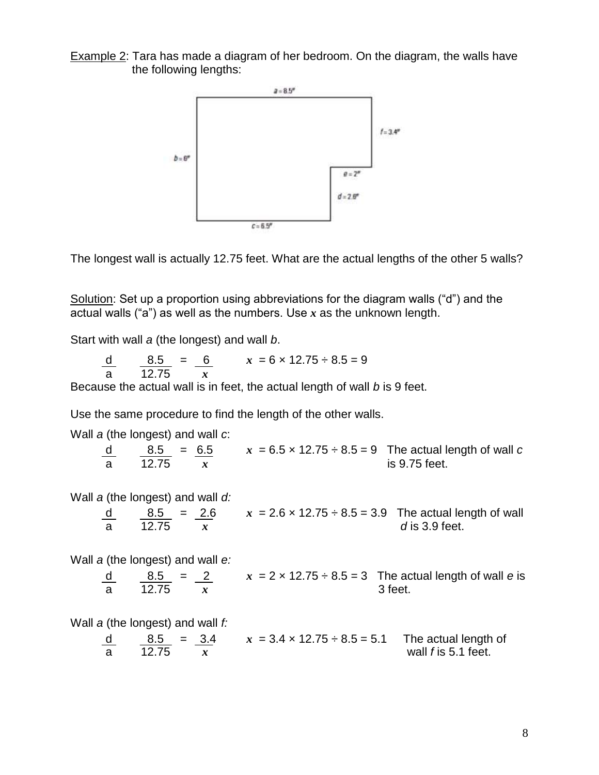Example 2: Tara has made a diagram of her bedroom. On the diagram, the walls have the following lengths:



The longest wall is actually 12.75 feet. What are the actual lengths of the other 5 walls?

Solution: Set up a proportion using abbreviations for the diagram walls ("d") and the actual walls ("a") as well as the numbers. Use *x* as the unknown length.

Start with wall *a* (the longest) and wall *b*.

d  $8.5 = 6$   $x = 6 \times 12.75 \div 8.5 = 9$ a 12.75 *x*

Because the actual wall is in feet, the actual length of wall *b* is 9 feet.

Use the same procedure to find the length of the other walls.

Wall *a* (the longest) and wall *c*:  $\frac{8.5}{12.75}$  =  $\frac{6.5}{r}$   $x = 6.5 \times 12.75 \div 8.5 = 9$  The actual length of wall *c* is 9.75 feet **a**  $\alpha$  is 9.75 feet. Wall *a* (the longest) and wall *d:*  $x = 2.6 \times 12.75 \div 8.5 = 3.9$  The actual length of wall  $\frac{d}{d}$   $\frac{8.5}{12.75}$  =  $\frac{2.6}{x}$   $x = 2.6 \times 12.75 \div 8.5 = 3.9$  The actual ler *d* is 3.9 feet. Wall *a* (the longest) and wall *e:* d  $8.5 = 2$   $x = 2 \times 12.75 \div 8.5 = 3$  The actual length of wall *e* is  $\frac{d}{a}$   $\frac{8.5}{12.75}$   $\frac{2}{x}$   $x = 2 \times 12.75 \div 8.5 = 3$  The ac 3 feet. Wall *a* (the longest) and wall *f:* d  $8.5 = 3.4$   $x = 3.4 \times 12.75 \div 8.5 = 5.1$  The actual length of a 12.75 *x* wall *f* is 5.1 feet.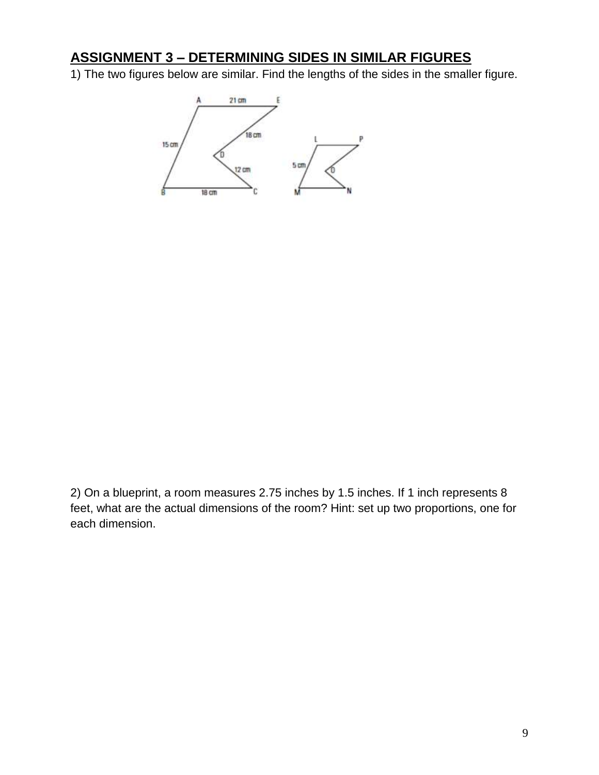### **ASSIGNMENT 3 – DETERMINING SIDES IN SIMILAR FIGURES**

1) The two figures below are similar. Find the lengths of the sides in the smaller figure.



2) On a blueprint, a room measures 2.75 inches by 1.5 inches. If 1 inch represents 8 feet, what are the actual dimensions of the room? Hint: set up two proportions, one for each dimension.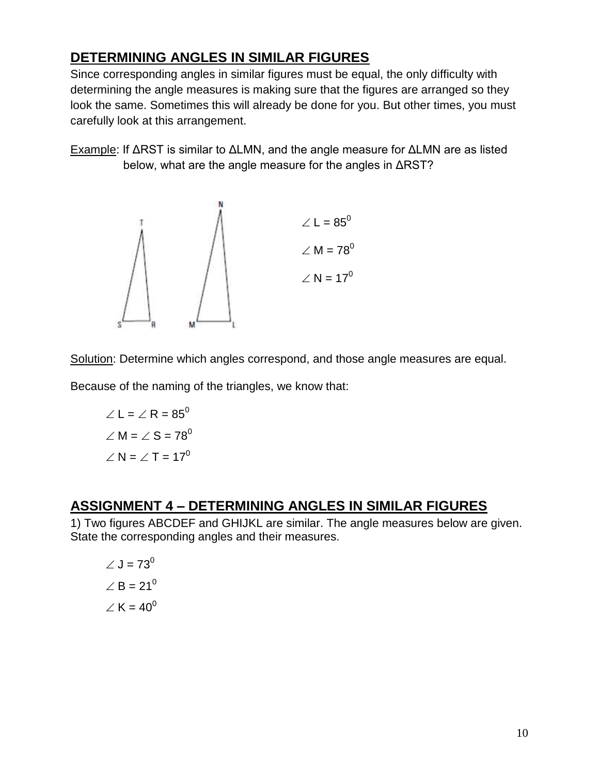## **DETERMINING ANGLES IN SIMILAR FIGURES**

Since corresponding angles in similar figures must be equal, the only difficulty with determining the angle measures is making sure that the figures are arranged so they look the same. Sometimes this will already be done for you. But other times, you must carefully look at this arrangement.

Example: If ΔRST is similar to ΔLMN, and the angle measure for ΔLMN are as listed below, what are the angle measure for the angles in ΔRST?



Solution: Determine which angles correspond, and those angle measures are equal.

Because of the naming of the triangles, we know that:

$$
\angle L = \angle R = 85^{\circ}
$$

$$
\angle M = \angle S = 78^{\circ}
$$

$$
\angle N = \angle T = 17^{\circ}
$$

#### **ASSIGNMENT 4 – DETERMINING ANGLES IN SIMILAR FIGURES**

1) Two figures ABCDEF and GHIJKL are similar. The angle measures below are given. State the corresponding angles and their measures.

$$
\angle J = 73^0
$$

$$
\angle B = 21^0
$$

$$
\angle K = 40^0
$$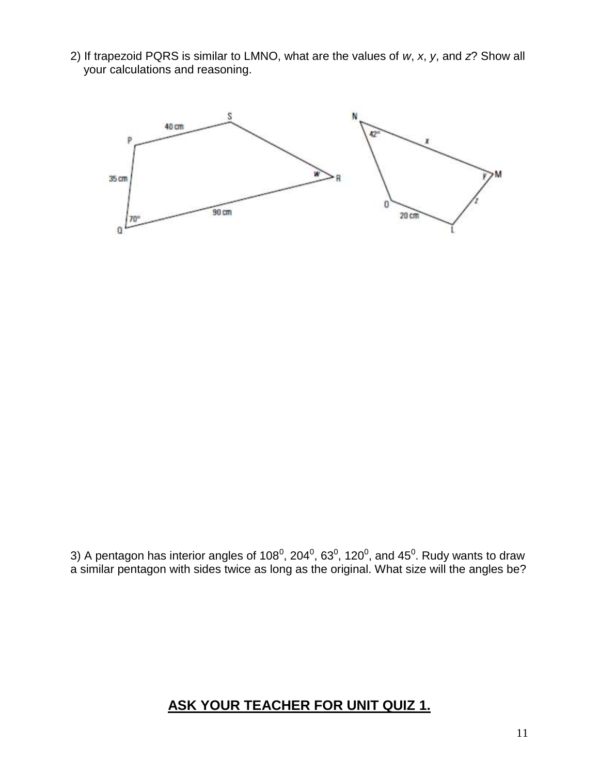2) If trapezoid PQRS is similar to LMNO, what are the values of *w*, *x*, *y*, and *z*? Show all your calculations and reasoning.



3) A pentagon has interior angles of 108<sup>0</sup>, 204<sup>0</sup>, 63<sup>0</sup>, 120<sup>0</sup>, and 45<sup>0</sup>. Rudy wants to draw a similar pentagon with sides twice as long as the original. What size will the angles be?

#### **ASK YOUR TEACHER FOR UNIT QUIZ 1.**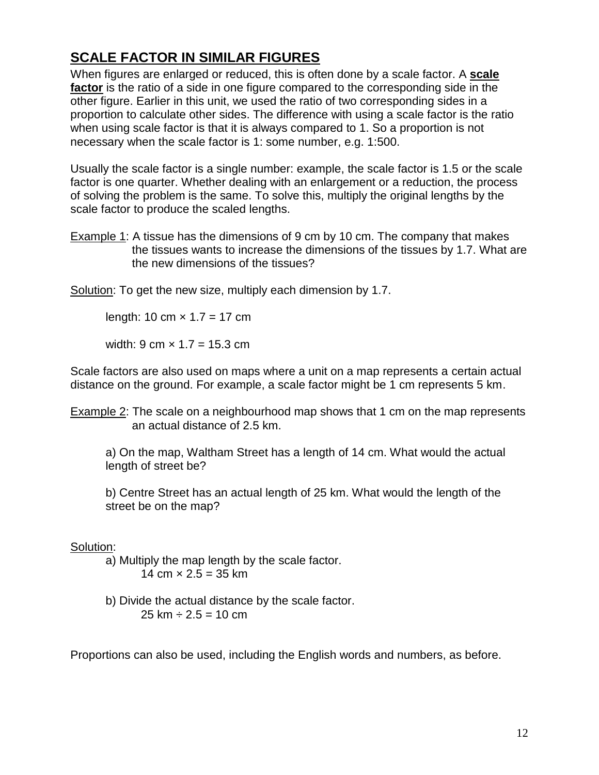# **SCALE FACTOR IN SIMILAR FIGURES**

When figures are enlarged or reduced, this is often done by a scale factor. A **scale factor** is the ratio of a side in one figure compared to the corresponding side in the other figure. Earlier in this unit, we used the ratio of two corresponding sides in a proportion to calculate other sides. The difference with using a scale factor is the ratio when using scale factor is that it is always compared to 1. So a proportion is not necessary when the scale factor is 1: some number, e.g. 1:500.

Usually the scale factor is a single number: example, the scale factor is 1.5 or the scale factor is one quarter. Whether dealing with an enlargement or a reduction, the process of solving the problem is the same. To solve this, multiply the original lengths by the scale factor to produce the scaled lengths.

Example 1: A tissue has the dimensions of 9 cm by 10 cm. The company that makes the tissues wants to increase the dimensions of the tissues by 1.7. What are the new dimensions of the tissues?

Solution: To get the new size, multiply each dimension by 1.7.

length: 10 cm  $\times$  1.7 = 17 cm

width: 9 cm  $\times$  1.7 = 15.3 cm

Scale factors are also used on maps where a unit on a map represents a certain actual distance on the ground. For example, a scale factor might be 1 cm represents 5 km.

Example 2: The scale on a neighbourhood map shows that 1 cm on the map represents an actual distance of 2.5 km.

a) On the map, Waltham Street has a length of 14 cm. What would the actual length of street be?

b) Centre Street has an actual length of 25 km. What would the length of the street be on the map?

#### Solution:

a) Multiply the map length by the scale factor. 14 cm  $\times$  2.5 = 35 km

b) Divide the actual distance by the scale factor.  $25 \text{ km} \div 2.5 = 10 \text{ cm}$ 

Proportions can also be used, including the English words and numbers, as before.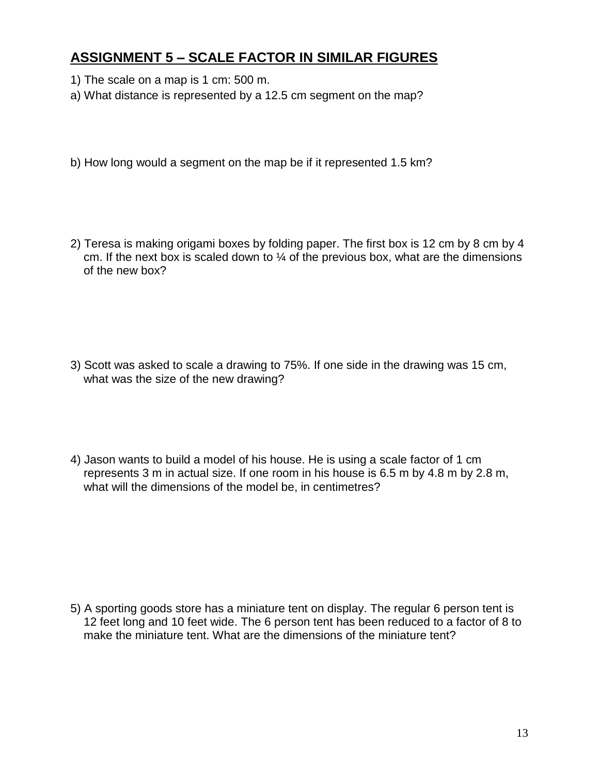## **ASSIGNMENT 5 – SCALE FACTOR IN SIMILAR FIGURES**

- 1) The scale on a map is 1 cm: 500 m.
- a) What distance is represented by a 12.5 cm segment on the map?
- b) How long would a segment on the map be if it represented 1.5 km?
- 2) Teresa is making origami boxes by folding paper. The first box is 12 cm by 8 cm by 4 cm. If the next box is scaled down to  $\frac{1}{4}$  of the previous box, what are the dimensions of the new box?

- 3) Scott was asked to scale a drawing to 75%. If one side in the drawing was 15 cm, what was the size of the new drawing?
- 4) Jason wants to build a model of his house. He is using a scale factor of 1 cm represents 3 m in actual size. If one room in his house is 6.5 m by 4.8 m by 2.8 m, what will the dimensions of the model be, in centimetres?

5) A sporting goods store has a miniature tent on display. The regular 6 person tent is 12 feet long and 10 feet wide. The 6 person tent has been reduced to a factor of 8 to make the miniature tent. What are the dimensions of the miniature tent?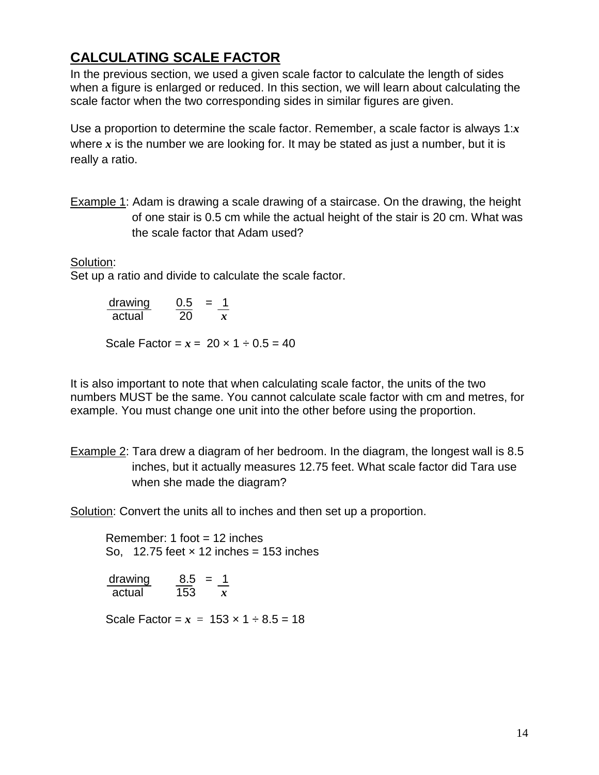# **CALCULATING SCALE FACTOR**

In the previous section, we used a given scale factor to calculate the length of sides when a figure is enlarged or reduced. In this section, we will learn about calculating the scale factor when the two corresponding sides in similar figures are given.

Use a proportion to determine the scale factor. Remember, a scale factor is always 1:*x* where *x* is the number we are looking for. It may be stated as just a number, but it is really a ratio.

Example 1: Adam is drawing a scale drawing of a staircase. On the drawing, the height of one stair is 0.5 cm while the actual height of the stair is 20 cm. What was the scale factor that Adam used?

Solution:

Set up a ratio and divide to calculate the scale factor.

drawing 0.5 = 1 actual 20 *x*

Scale Factor =  $x = 20 \times 1 \div 0.5 = 40$ 

It is also important to note that when calculating scale factor, the units of the two numbers MUST be the same. You cannot calculate scale factor with cm and metres, for example. You must change one unit into the other before using the proportion.

Example 2: Tara drew a diagram of her bedroom. In the diagram, the longest wall is 8.5 inches, but it actually measures 12.75 feet. What scale factor did Tara use when she made the diagram?

Solution: Convert the units all to inches and then set up a proportion.

Remember: 1 foot = 12 inches So,  $12.75$  feet  $\times$  12 inches = 153 inches

| drawing | 8.5 | $=$ |  |
|---------|-----|-----|--|
| actual  | 153 |     |  |

Scale Factor =  $x = 153 \times 1 \div 8.5 = 18$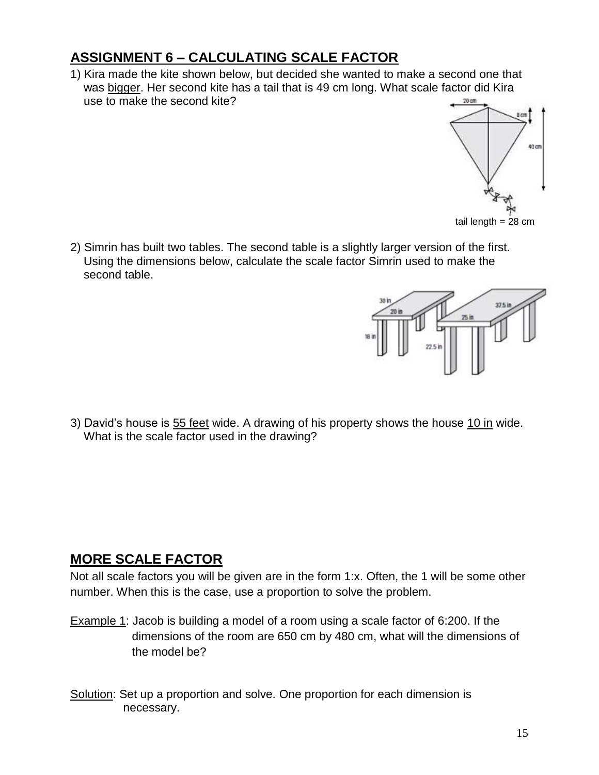# **ASSIGNMENT 6 – CALCULATING SCALE FACTOR**

1) Kira made the kite shown below, but decided she wanted to make a second one that was bigger. Her second kite has a tail that is 49 cm long. What scale factor did Kira use to make the second kite?



2) Simrin has built two tables. The second table is a slightly larger version of the first. Using the dimensions below, calculate the scale factor Simrin used to make the second table.



3) David's house is 55 feet wide. A drawing of his property shows the house 10 in wide. What is the scale factor used in the drawing?

#### **MORE SCALE FACTOR**

Not all scale factors you will be given are in the form 1:x. Often, the 1 will be some other number. When this is the case, use a proportion to solve the problem.

- Example 1: Jacob is building a model of a room using a scale factor of 6:200. If the dimensions of the room are 650 cm by 480 cm, what will the dimensions of the model be?
- Solution: Set up a proportion and solve. One proportion for each dimension is necessary.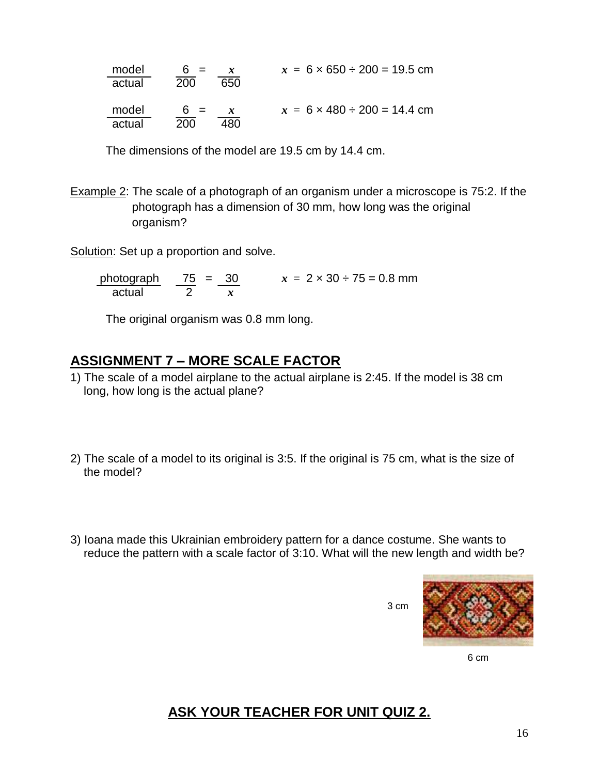| model  | 6 $=$      | $x = 6 \times 650 \div 200 = 19.5$ cm |
|--------|------------|---------------------------------------|
| actual | 200<br>650 |                                       |
|        |            |                                       |
| model  | $6 =$      | $x = 6 \times 480 \div 200 = 14.4$ cm |
| actual | 200<br>180 |                                       |

The dimensions of the model are 19.5 cm by 14.4 cm.

Example 2: The scale of a photograph of an organism under a microscope is 75:2. If the photograph has a dimension of 30 mm, how long was the original organism?

Solution: Set up a proportion and solve.

photograph 75 = 30  $x = 2 \times 30 \div 75 = 0.8$  mm actual 2 *x*

The original organism was 0.8 mm long.

#### **ASSIGNMENT 7 – MORE SCALE FACTOR**

- 1) The scale of a model airplane to the actual airplane is 2:45. If the model is 38 cm long, how long is the actual plane?
- 2) The scale of a model to its original is 3:5. If the original is 75 cm, what is the size of the model?
- 3) Ioana made this Ukrainian embroidery pattern for a dance costume. She wants to reduce the pattern with a scale factor of 3:10. What will the new length and width be?

3 cm



6 cm

# **ASK YOUR TEACHER FOR UNIT QUIZ 2.**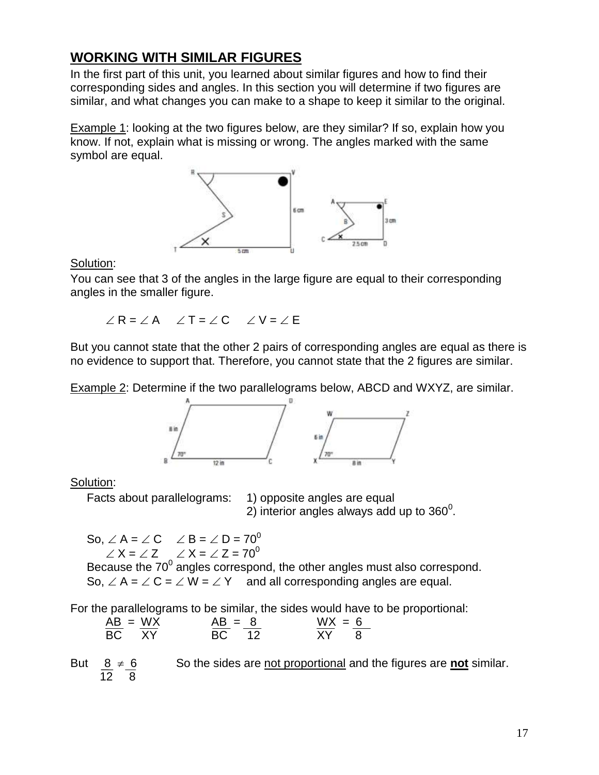## **WORKING WITH SIMILAR FIGURES**

In the first part of this unit, you learned about similar figures and how to find their corresponding sides and angles. In this section you will determine if two figures are similar, and what changes you can make to a shape to keep it similar to the original.

Example 1: looking at the two figures below, are they similar? If so, explain how you know. If not, explain what is missing or wrong. The angles marked with the same symbol are equal.



Solution:

You can see that 3 of the angles in the large figure are equal to their corresponding angles in the smaller figure.

 $R = AR \times T = AC \times V = TE$ 

But you cannot state that the other 2 pairs of corresponding angles are equal as there is no evidence to support that. Therefore, you cannot state that the 2 figures are similar.

Example 2: Determine if the two parallelograms below, ABCD and WXYZ, are similar.



#### Solution:

Facts about parallelograms: 1) opposite angles are equal

2) interior angles always add up to 360<sup>0</sup>.

So,  $\angle A = \angle C$   $\angle B = \angle D = 70^{\circ}$  $\angle X = \angle Z$   $\angle X = \angle Z = 70^{\circ}$ 

Because the  $70^0$  angles correspond, the other angles must also correspond. So,  $\angle A = \angle C = \angle W = \angle Y$  and all corresponding angles are equal.

For the parallelograms to be similar, the sides would have to be proportional:

| $AB = WX$ | $AB = 8$ | $WX = 6$ |  |
|-----------|----------|----------|--|
| BC XY     | BC 12    | XY I     |  |

So the sides are not proportional and the figures are **not** similar. But  $\frac{8}{12} \neq \frac{6}{8}$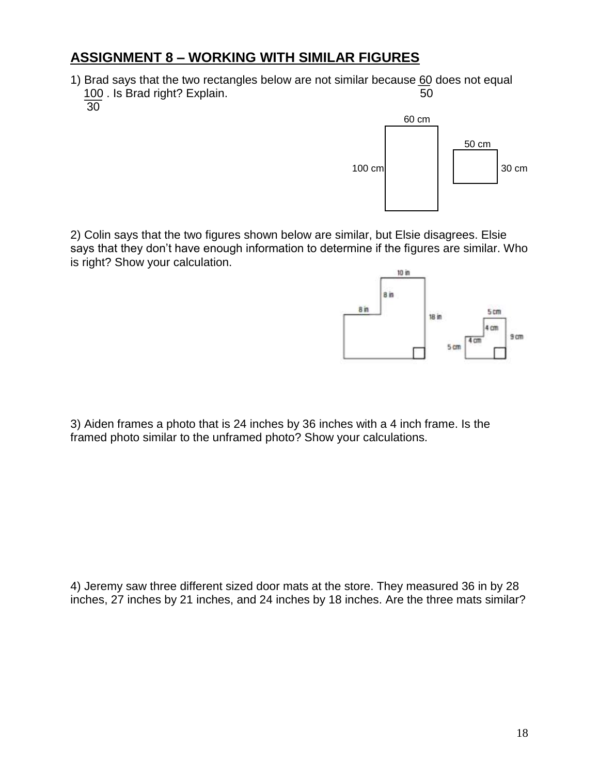### **ASSIGNMENT 8 – WORKING WITH SIMILAR FIGURES**

1) Brad says that the two rectangles below are not similar because 60 does not equal 100 . Is Brad right? Explain. 50 30



2) Colin says that the two figures shown below are similar, but Elsie disagrees. Elsie says that they don't have enough information to determine if the figures are similar. Who is right? Show your calculation.



3) Aiden frames a photo that is 24 inches by 36 inches with a 4 inch frame. Is the framed photo similar to the unframed photo? Show your calculations.

4) Jeremy saw three different sized door mats at the store. They measured 36 in by 28 inches, 27 inches by 21 inches, and 24 inches by 18 inches. Are the three mats similar?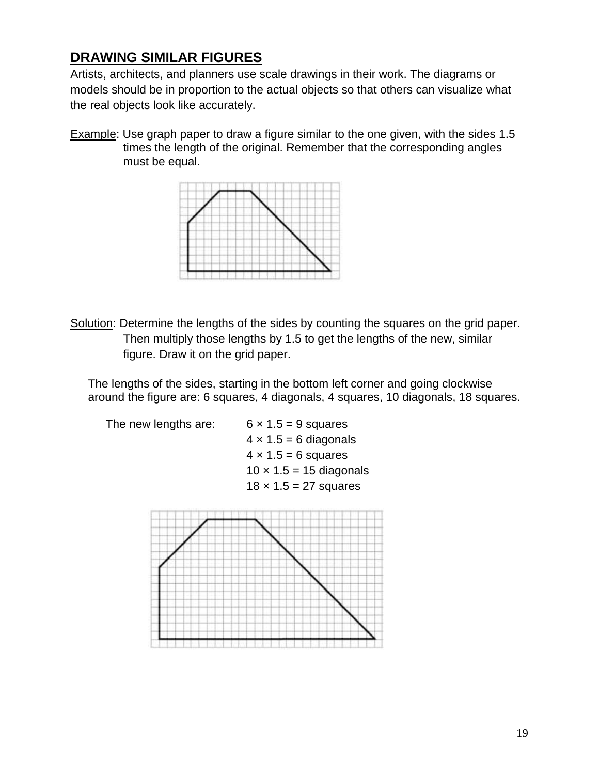## **DRAWING SIMILAR FIGURES**

Artists, architects, and planners use scale drawings in their work. The diagrams or models should be in proportion to the actual objects so that others can visualize what the real objects look like accurately.

Example: Use graph paper to draw a figure similar to the one given, with the sides 1.5 times the length of the original. Remember that the corresponding angles must be equal.



Solution: Determine the lengths of the sides by counting the squares on the grid paper. Then multiply those lengths by 1.5 to get the lengths of the new, similar figure. Draw it on the grid paper.

The lengths of the sides, starting in the bottom left corner and going clockwise around the figure are: 6 squares, 4 diagonals, 4 squares, 10 diagonals, 18 squares.



 $4 \times 1.5 = 6$  diagonals  $4 \times 1.5 = 6$  squares  $10 \times 1.5 = 15$  diagonals  $18 \times 1.5 = 27$  squares

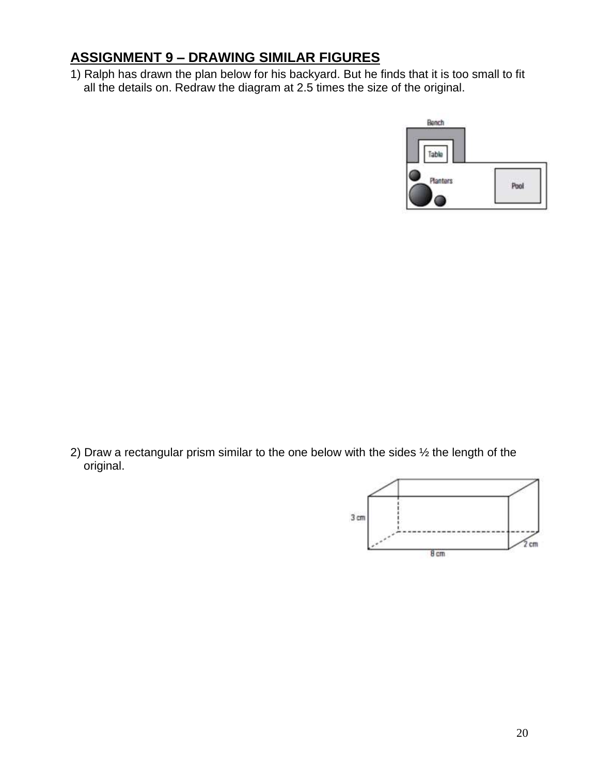## **ASSIGNMENT 9 – DRAWING SIMILAR FIGURES**

1) Ralph has drawn the plan below for his backyard. But he finds that it is too small to fit all the details on. Redraw the diagram at 2.5 times the size of the original.



2) Draw a rectangular prism similar to the one below with the sides  $\frac{1}{2}$  the length of the original.

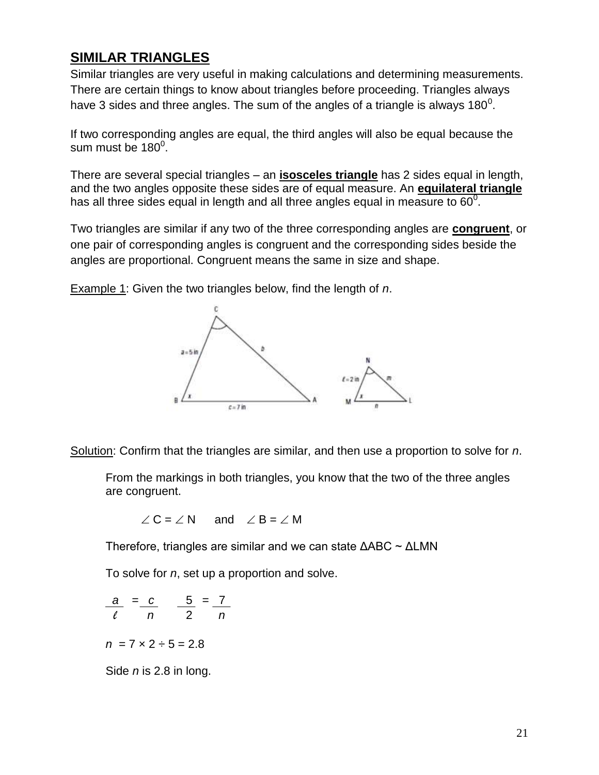#### **SIMILAR TRIANGLES**

Similar triangles are very useful in making calculations and determining measurements. There are certain things to know about triangles before proceeding. Triangles always have 3 sides and three angles. The sum of the angles of a triangle is always 180<sup>0</sup>.

If two corresponding angles are equal, the third angles will also be equal because the sum must be  $180^0$ .

There are several special triangles – an **isosceles triangle** has 2 sides equal in length, and the two angles opposite these sides are of equal measure. An **equilateral triangle** has all three sides equal in length and all three angles equal in measure to 60 $^0$ .

Two triangles are similar if any two of the three corresponding angles are **congruent**, or one pair of corresponding angles is congruent and the corresponding sides beside the angles are proportional. Congruent means the same in size and shape.

Example 1: Given the two triangles below, find the length of *n*.



Solution: Confirm that the triangles are similar, and then use a proportion to solve for *n*.

From the markings in both triangles, you know that the two of the three angles are congruent.

$$
\angle C = \angle N
$$
 and  $\angle B = \angle M$ 

Therefore, triangles are similar and we can state ΔABC ~ ΔLMN

To solve for *n*, set up a proportion and solve.

$$
\frac{a}{\ell} = \frac{c}{n} \qquad \frac{5}{2} = \frac{7}{n}
$$

 $n = 7 \times 2 \div 5 = 2.8$ 

Side *n* is 2.8 in long.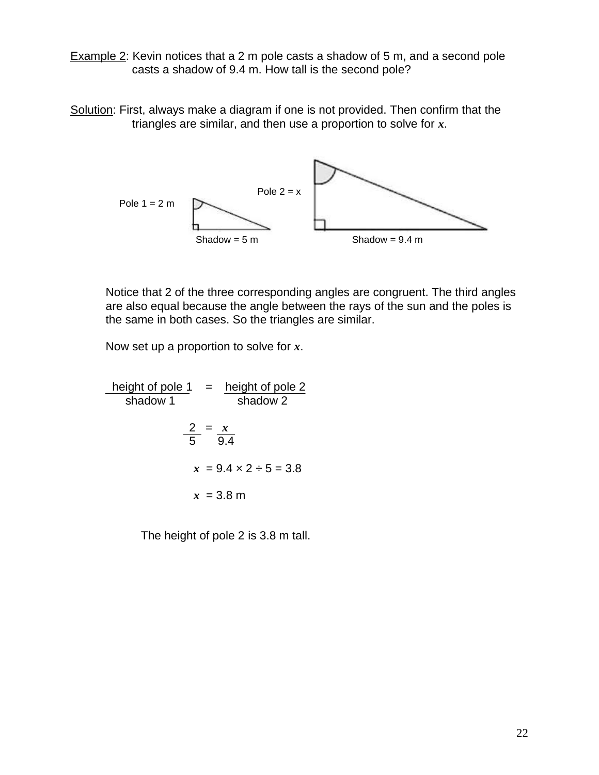Example 2: Kevin notices that a 2 m pole casts a shadow of 5 m, and a second pole casts a shadow of 9.4 m. How tall is the second pole?

Solution: First, always make a diagram if one is not provided. Then confirm that the triangles are similar, and then use a proportion to solve for *x*.



Notice that 2 of the three corresponding angles are congruent. The third angles are also equal because the angle between the rays of the sun and the poles is the same in both cases. So the triangles are similar.

Now set up a proportion to solve for *x*.

height of pole  $1 =$  height of pole 2 shadow 1 shadow 2  $2 = x$  5 9.4  $x = 9.4 \times 2 \div 5 = 3.8$  $x = 3.8 \text{ m}$ 

The height of pole 2 is 3.8 m tall.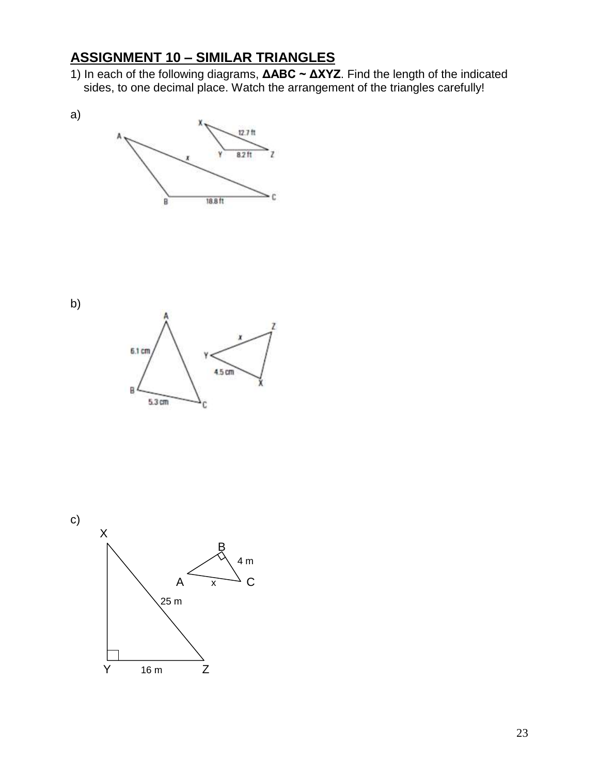### **ASSIGNMENT 10 – SIMILAR TRIANGLES**

1) In each of the following diagrams, **ΔABC ~ ΔXYZ**. Find the length of the indicated sides, to one decimal place. Watch the arrangement of the triangles carefully!





a)



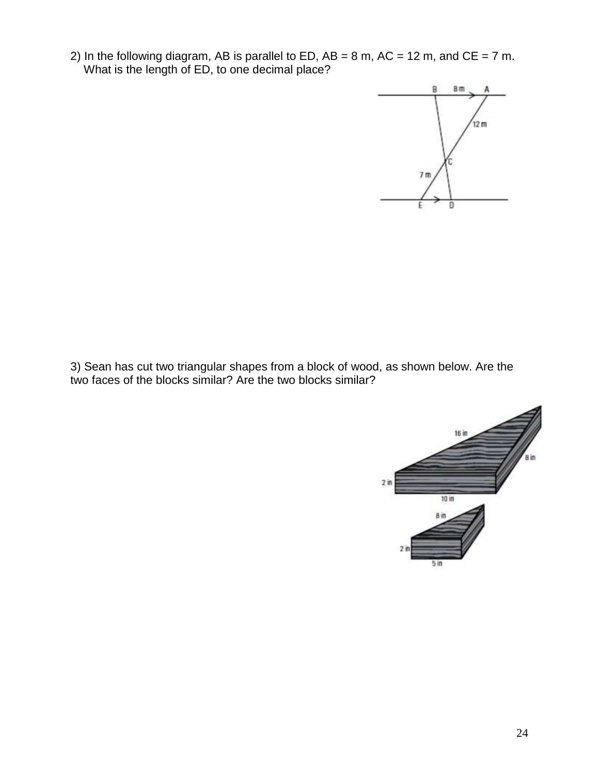2) In the following diagram, AB is parallel to ED,  $AB = 8$  m,  $AC = 12$  m, and  $CE = 7$  m. What is the length of ED, to one decimal place?



3) Sean has cut two triangular shapes from a block of wood, as shown below. Are the two faces of the blocks similar? Are the two blocks similar?